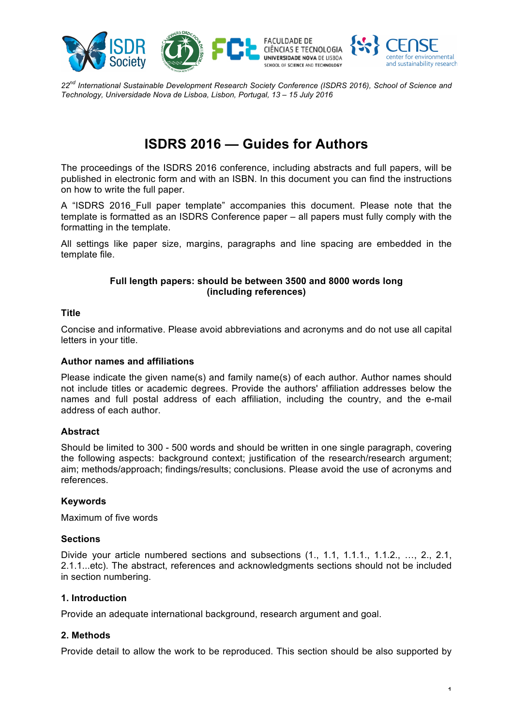

*22nd International Sustainable Development Research Society Conference (ISDRS 2016), School of Science and Technology, Universidade Nova de Lisboa, Lisbon, Portugal, 13 – 15 July 2016*

# **ISDRS 2016 — Guides for Authors**

The proceedings of the ISDRS 2016 conference, including abstracts and full papers, will be published in electronic form and with an ISBN. In this document you can find the instructions on how to write the full paper.

A "ISDRS 2016 Full paper template" accompanies this document. Please note that the template is formatted as an ISDRS Conference paper – all papers must fully comply with the formatting in the template.

All settings like paper size, margins, paragraphs and line spacing are embedded in the template file.

## **Full length papers: should be between 3500 and 8000 words long (including references)**

## **Title**

Concise and informative. Please avoid abbreviations and acronyms and do not use all capital letters in your title.

## **Author names and affiliations**

Please indicate the given name(s) and family name(s) of each author. Author names should not include titles or academic degrees. Provide the authors' affiliation addresses below the names and full postal address of each affiliation, including the country, and the e-mail address of each author.

# **Abstract**

Should be limited to 300 - 500 words and should be written in one single paragraph, covering the following aspects: background context; justification of the research/research argument; aim; methods/approach; findings/results; conclusions. Please avoid the use of acronyms and references.

## **Keywords**

Maximum of five words

## **Sections**

Divide your article numbered sections and subsections (1, 1.1, 1.1.1, 1.1.2, ..., 2, 2.1, 2.1.1...etc). The abstract, references and acknowledgments sections should not be included in section numbering.

# **1. Introduction**

Provide an adequate international background, research argument and goal.

# **2. Methods**

Provide detail to allow the work to be reproduced. This section should be also supported by